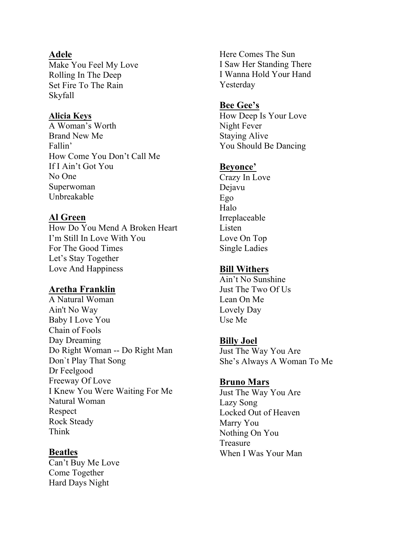### **Adele**

Make You Feel My Love Rolling In The Deep Set Fire To The Rain Skyfall

#### **Alicia Keys**

A Woman's Worth Brand New Me Fallin' How Come You Don't Call Me If I Ain't Got You No One Superwoman Unbreakable

# **Al Green**

How Do You Mend A Broken Heart I'm Still In Love With You For The Good Times Let's Stay Together Love And Happiness

# **Aretha Franklin**

A Natural Woman Ain't No Way Baby I Love You Chain of Fools Day Dreaming Do Right Woman -- Do Right Man Don`t Play That Song Dr Feelgood Freeway Of Love I Knew You Were Waiting For Me Natural Woman Respect Rock Steady Think

## **Beatles**

Can't Buy Me Love Come Together Hard Days Night

Here Comes The Sun I Saw Her Standing There I Wanna Hold Your Hand Yesterday

#### **Bee Gee's**

How Deep Is Your Love Night Fever Staying Alive You Should Be Dancing

#### **Beyonce'**

Crazy In Love Dejavu Ego Halo Irreplaceable Listen Love On Top Single Ladies

### **Bill Withers**

Ain't No Sunshine Just The Two Of Us Lean On Me Lovely Day Use Me

#### **Billy Joel**

Just The Way You Are She's Always A Woman To Me

## **Bruno Mars**

Just The Way You Are Lazy Song Locked Out of Heaven Marry You Nothing On You Treasure When I Was Your Man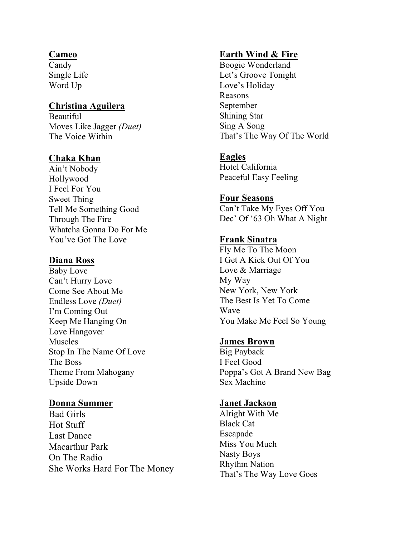# **Cameo**

Candy Single Life Word Up

# **Christina Aguilera**

Beautiful Moves Like Jagger *(Duet)* The Voice Within

# **Chaka Khan**

Ain't Nobody Hollywood I Feel For You Sweet Thing Tell Me Something Good Through The Fire Whatcha Gonna Do For Me You've Got The Love

# **Diana Ross**

Baby Love Can't Hurry Love Come See About Me Endless Love *(Duet)* I'm Coming Out Keep Me Hanging On Love Hangover Muscles Stop In The Name Of Love The Boss Theme From Mahogany Upside Down

## **Donna Summer**

Bad Girls Hot Stuff Last Dance Macarthur Park On The Radio She Works Hard For The Money

# **Earth Wind & Fire**

Boogie Wonderland Let's Groove Tonight Love's Holiday Reasons September Shining Star Sing A Song That's The Way Of The World

# **Eagles**

Hotel California Peaceful Easy Feeling

# **Four Seasons**

Can't Take My Eyes Off You Dec' Of '63 Oh What A Night

# **Frank Sinatra**

Fly Me To The Moon I Get A Kick Out Of You Love & Marriage My Way New York, New York The Best Is Yet To Come Wave You Make Me Feel So Young

# **James Brown**

Big Payback I Feel Good Poppa's Got A Brand New Bag Sex Machine

## **Janet Jackson**

Alright With Me Black Cat Escapade Miss You Much Nasty Boys Rhythm Nation That's The Way Love Goes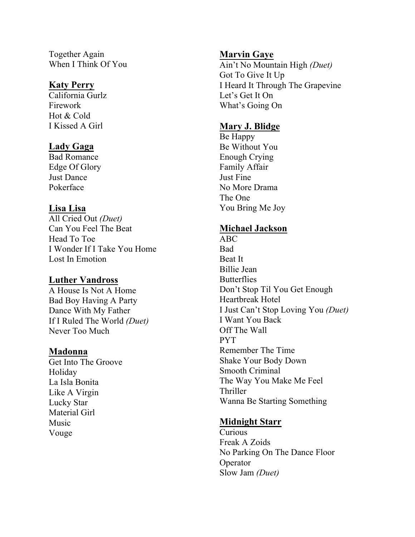Together Again When I Think Of You

#### **Katy Perry**

California Gurlz Firework Hot & Cold I Kissed A Girl

## **Lady Gaga**

Bad Romance Edge Of Glory Just Dance Pokerface

## **Lisa Lisa**

All Cried Out *(Duet)* Can You Feel The Beat Head To Toe I Wonder If I Take You Home Lost In Emotion

## **Luther Vandross**

A House Is Not A Home Bad Boy Having A Party Dance With My Father If I Ruled The World *(Duet)* Never Too Much

#### **Madonna**

Get Into The Groove Holiday La Isla Bonita Like A Virgin Lucky Star Material Girl Music Vouge

### **Marvin Gaye**

Ain't No Mountain High *(Duet)* Got To Give It Up I Heard It Through The Grapevine Let's Get It On What's Going On

## **Mary J. Blidge**

Be Happy Be Without You Enough Crying Family Affair Just Fine No More Drama The One You Bring Me Joy

#### **Michael Jackson**

ABC Bad Beat It Billie Jean **Butterflies** Don't Stop Til You Get Enough Heartbreak Hotel I Just Can't Stop Loving You *(Duet)* I Want You Back Off The Wall PYT Remember The Time Shake Your Body Down Smooth Criminal The Way You Make Me Feel Thriller Wanna Be Starting Something

#### **Midnight Starr**

Curious Freak A Zoids No Parking On The Dance Floor Operator Slow Jam *(Duet)*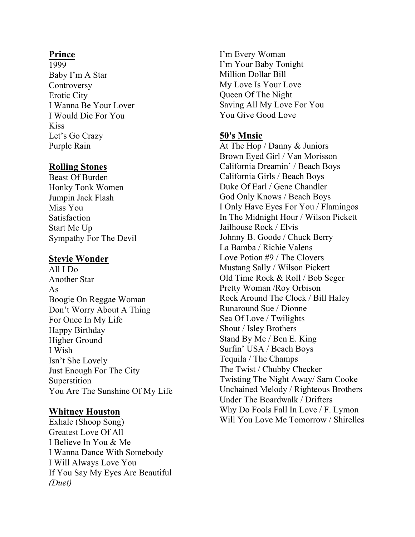# **Prince**

1999 Baby I'm A Star **Controversy** Erotic City I Wanna Be Your Lover I Would Die For You Kiss Let's Go Crazy Purple Rain

# **Rolling Stones**

Beast Of Burden Honky Tonk Women Jumpin Jack Flash Miss You **Satisfaction** Start Me Up Sympathy For The Devil

# **Stevie Wonder**

All I Do Another Star As Boogie On Reggae Woman Don't Worry About A Thing For Once In My Life Happy Birthday Higher Ground I Wish Isn't She Lovely Just Enough For The City Superstition You Are The Sunshine Of My Life

# **Whitney Houston**

Exhale (Shoop Song) Greatest Love Of All I Believe In You & Me I Wanna Dance With Somebody I Will Always Love You If You Say My Eyes Are Beautiful *(Duet)*

I'm Every Woman I'm Your Baby Tonight Million Dollar Bill My Love Is Your Love Queen Of The Night Saving All My Love For You You Give Good Love

# **50's Music**

At The Hop / Danny & Juniors Brown Eyed Girl / Van Morisson California Dreamin' / Beach Boys California Girls / Beach Boys Duke Of Earl / Gene Chandler God Only Knows / Beach Boys I Only Have Eyes For You / Flamingos In The Midnight Hour / Wilson Pickett Jailhouse Rock / Elvis Johnny B. Goode / Chuck Berry La Bamba / Richie Valens Love Potion #9 / The Clovers Mustang Sally / Wilson Pickett Old Time Rock & Roll / Bob Seger Pretty Woman /Roy Orbison Rock Around The Clock / Bill Haley Runaround Sue / Dionne Sea Of Love / Twilights Shout / Isley Brothers Stand By Me / Ben E. King Surfin' USA / Beach Boys Tequila / The Champs The Twist / Chubby Checker Twisting The Night Away/ Sam Cooke Unchained Melody / Righteous Brothers Under The Boardwalk / Drifters Why Do Fools Fall In Love / F. Lymon Will You Love Me Tomorrow / Shirelles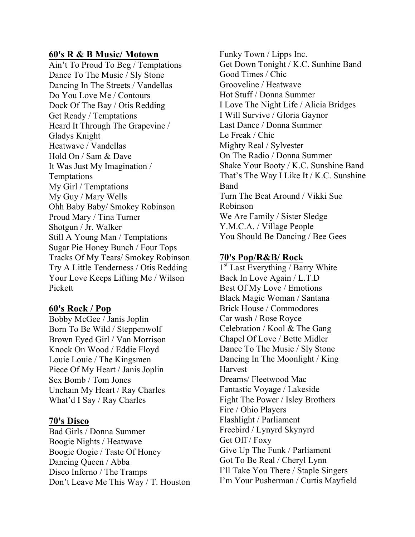#### **60's R & B Music/ Motown**

Ain't To Proud To Beg / Temptations Dance To The Music / Sly Stone Dancing In The Streets / Vandellas Do You Love Me / Contours Dock Of The Bay / Otis Redding Get Ready / Temptations Heard It Through The Grapevine / Gladys Knight Heatwave / Vandellas Hold On / Sam & Dave It Was Just My Imagination / Temptations My Girl / Temptations My Guy / Mary Wells Ohh Baby Baby/ Smokey Robinson Proud Mary / Tina Turner Shotgun / Jr. Walker Still A Young Man / Temptations Sugar Pie Honey Bunch / Four Tops Tracks Of My Tears/ Smokey Robinson Try A Little Tenderness / Otis Redding Your Love Keeps Lifting Me / Wilson Pickett

## **60's Rock / Pop**

Bobby McGee / Janis Joplin Born To Be Wild / Steppenwolf Brown Eyed Girl / Van Morrison Knock On Wood / Eddie Floyd Louie Louie / The Kingsmen Piece Of My Heart / Janis Joplin Sex Bomb / Tom Jones Unchain My Heart / Ray Charles What'd I Say / Ray Charles

#### **70's Disco**

Bad Girls / Donna Summer Boogie Nights / Heatwave Boogie Oogie / Taste Of Honey Dancing Queen / Abba Disco Inferno / The Tramps Don't Leave Me This Way / T. Houston Funky Town / Lipps Inc. Get Down Tonight / K.C. Sunhine Band Good Times / Chic Grooveline / Heatwave Hot Stuff / Donna Summer I Love The Night Life / Alicia Bridges I Will Survive / Gloria Gaynor Last Dance / Donna Summer Le Freak / Chic Mighty Real / Sylvester On The Radio / Donna Summer Shake Your Booty / K.C. Sunshine Band That's The Way I Like It / K.C. Sunshine Band Turn The Beat Around / Vikki Sue Robinson We Are Family / Sister Sledge Y.M.C.A. / Village People You Should Be Dancing / Bee Gees

#### **70's Pop/R&B/ Rock**

 $1<sup>st</sup>$  Last Everything / Barry White Back In Love Again / L.T.D Best Of My Love / Emotions Black Magic Woman / Santana Brick House / Commodores Car wash / Rose Royce Celebration / Kool & The Gang Chapel Of Love / Bette Midler Dance To The Music / Sly Stone Dancing In The Moonlight / King Harvest Dreams/ Fleetwood Mac Fantastic Voyage / Lakeside Fight The Power / Isley Brothers Fire / Ohio Players Flashlight / Parliament Freebird / Lynyrd Skynyrd Get Off / Foxy Give Up The Funk / Parliament Got To Be Real / Cheryl Lynn I'll Take You There / Staple Singers I'm Your Pusherman / Curtis Mayfield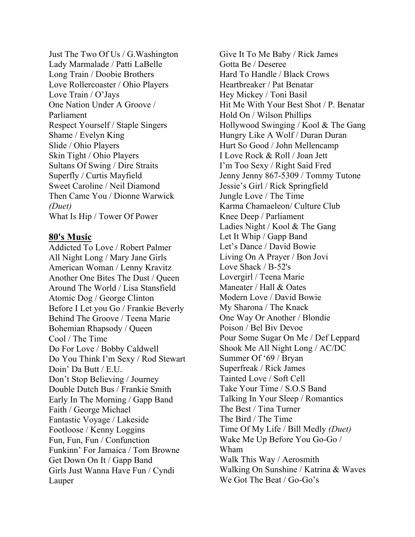Just The Two Of Us / G.Washington Lady Marmalade / Patti LaBelle Long Train / Doobie Brothers Love Rollercoaster / Ohio Players Love Train / O'Jays One Nation Under A Groove / Parliament Respect Yourself / Staple Singers Shame / Evelyn King Slide / Ohio Players Skin Tight / Ohio Players Sultans Of Swing / Dire Straits Superfly / Curtis Mayfield Sweet Caroline / Neil Diamond Then Came You / Dionne Warwick *(Duet)* What Is Hip / Tower Of Power

#### **80's Music**

Addicted To Love / Robert Palmer All Night Long / Mary Jane Girls American Woman / Lenny Kravitz Another One Bites The Dust / Queen Around The World / Lisa Stansfield Atomic Dog / George Clinton Before I Let you Go / Frankie Beverly Behind The Groove / Teena Marie Bohemian Rhapsody / Queen Cool / The Time Do For Love / Bobby Caldwell Do You Think I'm Sexy / Rod Stewart Doin' Da Butt / E.U. Don't Stop Believing / Journey Double Dutch Bus / Frankie Smith Early In The Morning / Gapp Band Faith / George Michael Fantastic Voyage / Lakeside Footloose / Kenny Loggins Fun, Fun, Fun / Confunction Funkinn' For Jamaica / Tom Browne Get Down On It / Gapp Band Girls Just Wanna Have Fun / Cyndi Lauper

Give It To Me Baby / Rick James Gotta Be / Deseree Hard To Handle / Black Crows Heartbreaker / Pat Benatar Hey Mickey / Toni Basil Hit Me With Your Best Shot / P. Benatar Hold On / Wilson Phillips Hollywood Swinging / Kool & The Gang Hungry Like A Wolf / Duran Duran Hurt So Good / John Mellencamp I Love Rock & Roll / Joan Jett I'm Too Sexy / Right Said Fred Jenny Jenny 867-5309 / Tommy Tutone Jessie's Girl / Rick Springfield Jungle Love / The Time Karma Chamaeleon/ Culture Club Knee Deep / Parliament Ladies Night / Kool & The Gang Let It Whip / Gapp Band Let's Dance / David Bowie Living On A Prayer / Bon Jovi Love Shack / B-52's Lovergirl / Teena Marie Maneater / Hall & Oates Modern Love / David Bowie My Sharona / The Knack One Way Or Another / Blondie Poison / Bel Biv Devoe Pour Some Sugar On Me / Def Leppard Shook Me All Night Long / AC/DC Summer Of '69 / Bryan Superfreak / Rick James Tainted Love / Soft Cell Take Your Time / S.O.S Band Talking In Your Sleep / Romantics The Best / Tina Turner The Bird / The Time Time Of My Life / Bill Medly *(Duet)* Wake Me Up Before You Go-Go / Wham Walk This Way / Aerosmith Walking On Sunshine / Katrina & Waves We Got The Beat / Go-Go's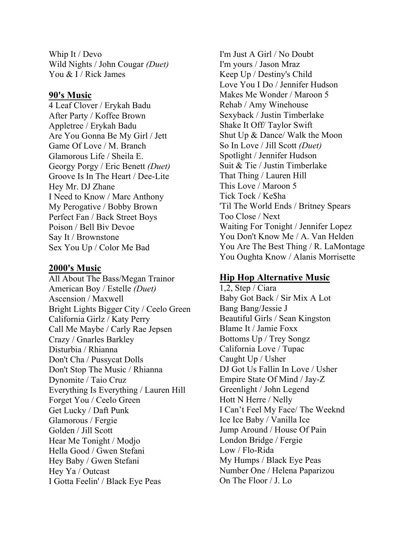Whip It / Devo Wild Nights / John Cougar *(Duet)* You & I / Rick James

#### **90's Music**

4 Leaf Clover / Erykah Badu After Party / Koffee Brown Appletree / Erykah Badu Are You Gonna Be My Girl / Jett Game Of Love / M. Branch Glamorous Life / Sheila E. Georgy Porgy / Eric Benett *(Duet)* Groove Is In The Heart / Dee-Lite Hey Mr. DJ Zhane I Need to Know / Marc Anthony My Perogative / Bobby Brown Perfect Fan / Back Street Boys Poison / Bell Biv Devoe Say It / Brownstone Sex You Up / Color Me Bad

### **2000's Music**

All About The Bass/Megan Trainor American Boy / Estelle *(Duet)* Ascension / Maxwell Bright Lights Bigger City / Ceelo Green California Girlz / Katy Perry Call Me Maybe / Carly Rae Jepsen Crazy / Gnarles Barkley Disturbia / Rhianna Don't Cha / Pussycat Dolls Don't Stop The Music / Rhianna Dynomite / Taio Cruz Everything Is Everything / Lauren Hill Forget You / Ceelo Green Get Lucky / Daft Punk Glamorous / Fergie Golden / Jill Scott Hear Me Tonight / Modjo Hella Good / Gwen Stefani Hey Baby / Gwen Stefani Hey Ya / Outcast I Gotta Feelin' / Black Eye Peas

I'm Just A Girl / No Doubt I'm yours / Jason Mraz Keep Up / Destiny's Child Love You I Do / Jennifer Hudson Makes Me Wonder / Maroon 5 Rehab / Amy Winehouse Sexyback / Justin Timberlake Shake It Off/ Taylor Swift Shut Up & Dance/ Walk the Moon So In Love / Jill Scott *(Duet)* Spotlight / Jennifer Hudson Suit & Tie / Justin Timberlake That Thing / Lauren Hill This Love / Maroon 5 Tick Tock / Ke\$ha 'Til The World Ends / Britney Spears Too Close / Next Waiting For Tonight / Jennifer Lopez You Don't Know Me / A. Van Helden You Are The Best Thing / R. LaMontage You Oughta Know / Alanis Morrisette

## **Hip Hop Alternative Music**

1,2, Step / Ciara Baby Got Back / Sir Mix A Lot Bang Bang/Jessie J Beautiful Girls / Sean Kingston Blame It / Jamie Foxx Bottoms Up / Trey Songz California Love / Tupac Caught Up / Usher DJ Got Us Fallin In Love / Usher Empire State Of Mind / Jay-Z Greenlight / John Legend Hott N Herre / Nelly I Can't Feel My Face/ The Weeknd Ice Ice Baby / Vanilla Ice Jump Around / House Of Pain London Bridge / Fergie Low / Flo-Rida My Humps / Black Eye Peas Number One / Helena Paparizou On The Floor / J. Lo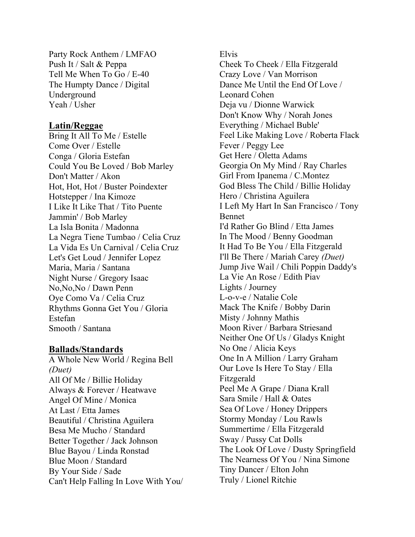Party Rock Anthem / LMFAO Push It / Salt & Peppa Tell Me When To Go / E-40 The Humpty Dance / Digital Underground Yeah / Usher

#### **Latin/Reggae**

Bring It All To Me / Estelle Come Over / Estelle Conga / Gloria Estefan Could You Be Loved / Bob Marley Don't Matter / Akon Hot, Hot, Hot / Buster Poindexter Hotstepper / Ina Kimoze I Like It Like That / Tito Puente Jammin' / Bob Marley La Isla Bonita / Madonna La Negra Tiene Tumbao / Celia Cruz La Vida Es Un Carnival / Celia Cruz Let's Get Loud / Jennifer Lopez Maria, Maria / Santana Night Nurse / Gregory Isaac No,No,No / Dawn Penn Oye Como Va / Celia Cruz Rhythms Gonna Get You / Gloria Estefan Smooth / Santana

#### **Ballads/Standards**

A Whole New World / Regina Bell *(Duet)* All Of Me / Billie Holiday Always & Forever / Heatwave Angel Of Mine / Monica At Last / Etta James Beautiful / Christina Aguilera Besa Me Mucho / Standard Better Together / Jack Johnson Blue Bayou / Linda Ronstad Blue Moon / Standard By Your Side / Sade Can't Help Falling In Love With You/ Elvis

Cheek To Cheek / Ella Fitzgerald Crazy Love / Van Morrison Dance Me Until the End Of Love / Leonard Cohen Deja vu / Dionne Warwick Don't Know Why / Norah Jones Everything / Michael Buble' Feel Like Making Love / Roberta Flack Fever / Peggy Lee Get Here / Oletta Adams Georgia On My Mind / Ray Charles Girl From Ipanema / C.Montez God Bless The Child / Billie Holiday Hero / Christina Aguilera I Left My Hart In San Francisco / Tony Bennet I'd Rather Go Blind / Etta James In The Mood / Benny Goodman It Had To Be You / Ella Fitzgerald I'll Be There / Mariah Carey *(Duet)* Jump Jive Wail / Chili Poppin Daddy's La Vie An Rose / Edith Piav Lights / Journey L-o-v-e / Natalie Cole Mack The Knife / Bobby Darin Misty / Johnny Mathis Moon River / Barbara Striesand Neither One Of Us / Gladys Knight No One / Alicia Keys One In A Million / Larry Graham Our Love Is Here To Stay / Ella Fitzgerald Peel Me A Grape / Diana Krall Sara Smile / Hall & Oates Sea Of Love / Honey Drippers Stormy Monday / Lou Rawls Summertime / Ella Fitzgerald Sway / Pussy Cat Dolls The Look Of Love / Dusty Springfield The Nearness Of You / Nina Simone Tiny Dancer / Elton John Truly / Lionel Ritchie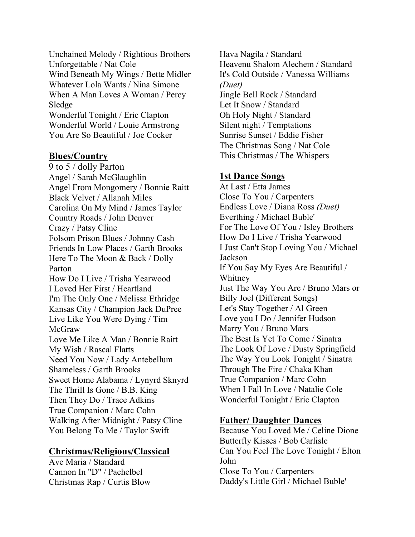Unchained Melody / Rightious Brothers Unforgettable / Nat Cole Wind Beneath My Wings / Bette Midler Whatever Lola Wants / Nina Simone When A Man Loves A Woman / Percy Sledge Wonderful Tonight / Eric Clapton Wonderful World / Louie Armstrong You Are So Beautiful / Joe Cocker

#### **Blues/Country**

9 to 5 / dolly Parton Angel / Sarah McGlaughlin Angel From Mongomery / Bonnie Raitt Black Velvet / Allanah Miles Carolina On My Mind / James Taylor Country Roads / John Denver Crazy / Patsy Cline Folsom Prison Blues / Johnny Cash Friends In Low Places / Garth Brooks Here To The Moon & Back / Dolly Parton How Do I Live / Trisha Yearwood I Loved Her First / Heartland I'm The Only One / Melissa Ethridge Kansas City / Champion Jack DuPree Live Like You Were Dying / Tim McGraw Love Me Like A Man / Bonnie Raitt My Wish / Rascal Flatts Need You Now / Lady Antebellum Shameless / Garth Brooks Sweet Home Alabama / Lynyrd Sknyrd The Thrill Is Gone / B.B. King Then They Do / Trace Adkins True Companion / Marc Cohn Walking After Midnight / Patsy Cline You Belong To Me / Taylor Swift

## **Christmas/Religious/Classical**

Ave Maria / Standard Cannon In "D" / Pachelbel Christmas Rap / Curtis Blow Hava Nagila / Standard Heavenu Shalom Alechem / Standard It's Cold Outside / Vanessa Williams *(Duet)* Jingle Bell Rock / Standard Let It Snow / Standard Oh Holy Night / Standard Silent night / Temptations Sunrise Sunset / Eddie Fisher The Christmas Song / Nat Cole This Christmas / The Whispers

# **1st Dance Songs**

At Last / Etta James Close To You / Carpenters Endless Love / Diana Ross *(Duet)* Everthing / Michael Buble' For The Love Of You / Isley Brothers How Do I Live / Trisha Yearwood I Just Can't Stop Loving You / Michael Jackson If You Say My Eyes Are Beautiful / Whitney Just The Way You Are / Bruno Mars or Billy Joel (Different Songs) Let's Stay Together / Al Green Love you I Do / Jennifer Hudson Marry You / Bruno Mars The Best Is Yet To Come / Sinatra The Look Of Love / Dusty Springfield The Way You Look Tonight / Sinatra Through The Fire / Chaka Khan True Companion / Marc Cohn When I Fall In Love / Natalie Cole Wonderful Tonight / Eric Clapton

# **Father/ Daughter Dances**

Because You Loved Me / Celine Dione Butterfly Kisses / Bob Carlisle Can You Feel The Love Tonight / Elton John Close To You / Carpenters Daddy's Little Girl / Michael Buble'